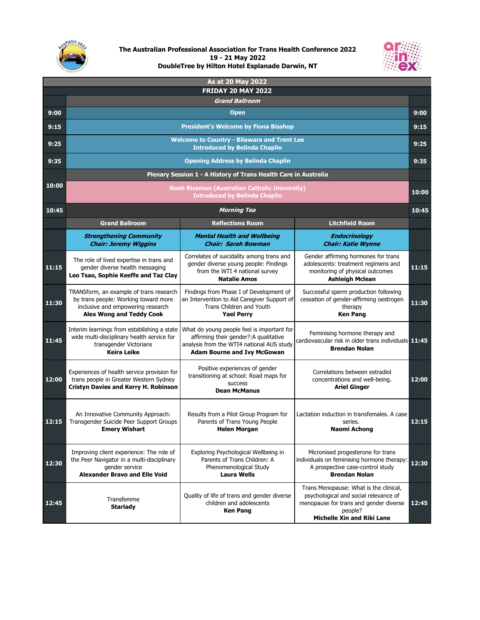

## **The Australian Professional Association for Trans Health Conference 2022 19 - 21 May 2022 DoubleTree by Hilton Hotel Esplanade Darwin, NT**



| As at 20 May 2022 |                                                                                                                                                         |                                                                                                                                                                         |                                                                                                                                                                           |       |
|-------------------|---------------------------------------------------------------------------------------------------------------------------------------------------------|-------------------------------------------------------------------------------------------------------------------------------------------------------------------------|---------------------------------------------------------------------------------------------------------------------------------------------------------------------------|-------|
|                   | <b>FRIDAY 20 MAY 2022</b>                                                                                                                               |                                                                                                                                                                         |                                                                                                                                                                           |       |
|                   | <b>Grand Ballroom</b>                                                                                                                                   |                                                                                                                                                                         |                                                                                                                                                                           |       |
| 9:00              | <b>Open</b>                                                                                                                                             |                                                                                                                                                                         |                                                                                                                                                                           | 9:00  |
| 9:15              | <b>President's Welcome by Fiona Bisshop</b>                                                                                                             |                                                                                                                                                                         |                                                                                                                                                                           | 9:15  |
| 9:25              | <b>Welcome to Country - Bilawara and Trent Lee</b><br><b>Introduced by Belinda Chaplin</b>                                                              |                                                                                                                                                                         |                                                                                                                                                                           | 9:25  |
| 9:35              | <b>Opening Address by Belinda Chaplin</b>                                                                                                               |                                                                                                                                                                         |                                                                                                                                                                           | 9:35  |
|                   | Plenary Session 1 - A History of Trans Health Care in Australia                                                                                         |                                                                                                                                                                         |                                                                                                                                                                           |       |
| 10:00             | <b>Noah Riseman (Australian Catholic University)</b><br><b>Introduced by Belinda Chaplin</b>                                                            |                                                                                                                                                                         |                                                                                                                                                                           | 10:00 |
| 10:45             | <b>Morning Tea</b>                                                                                                                                      |                                                                                                                                                                         |                                                                                                                                                                           | 10:45 |
|                   | <b>Grand Ballroom</b>                                                                                                                                   | <b>Reflections Room</b>                                                                                                                                                 | <b>Litchfield Room</b>                                                                                                                                                    |       |
|                   | <b>Strengthening Community</b><br><b>Chair: Jeremy Wiggins</b>                                                                                          | <b>Mental Health and Wellbeing</b><br><b>Chair: Sarah Bowman</b>                                                                                                        | <b>Endocrinology</b><br><b>Chair: Katie Wynne</b>                                                                                                                         |       |
| 11:15             | The role of lived expertise in trans and<br>gender diverse health messaging<br>Leo Tsao, Sophie Keeffe and Taz Clay                                     | Correlates of suicidality among trans and<br>gender diverse young people: Findings<br>from the WTI 4 national survey<br><b>Natalie Amos</b>                             | Gender affirming hormones for trans<br>adolescents: treatment regimens and<br>monitoring of physical outcomes<br><b>Ashleigh Mclean</b>                                   | 11:15 |
| 11:30             | TRANSform, an example of trans research<br>by trans people: Working toward more<br>inclusive and empowering research<br><b>Alex Wong and Teddy Cook</b> | Findings from Phase I of Development of<br>an Intervention to Aid Caregiver Support of<br>Trans Children and Youth<br><b>Yael Perry</b>                                 | Successful sperm production following<br>cessation of gender-affirming oestrogen<br>therapy<br><b>Ken Pang</b>                                                            | 11:30 |
| 11:45             | Interim learnings from establishing a state<br>wide multi-disciplinary health service for<br>transgender Victorians<br><b>Keira Leike</b>               | What do young people feel is important for<br>affirming their gender?: A qualitative<br>analysis from the WTI4 national AUS study<br><b>Adam Bourne and Ivy McGowan</b> | Feminising hormone therapy and<br>cardiovascular risk in older trans individuals 11:45<br><b>Brendan Nolan</b>                                                            |       |
| 12:00             | Experiences of health service provision for<br>trans people in Greater Western Sydney<br><b>Cristyn Davies and Kerry H. Robinson</b>                    | Positive experiences of gender<br>transitioning at school: Road maps for<br>success<br><b>Dean McManus</b>                                                              | Correlations between estradiol<br>concentrations and well-being.<br><b>Ariel Ginger</b>                                                                                   | 12:00 |
| 12:15             | An Innovative Community Approach:<br>Transgender Suicide Peer Support Groups<br><b>Emery Wishart</b>                                                    | Results from a Pilot Group Program for<br>Parents of Trans Young People<br>Helen Morgan                                                                                 | Lactation induction in transfemales. A case<br>series.<br>Naomi Achong                                                                                                    | 12:15 |
| 12:30             | Improving client experience: The role of<br>the Peer Navigator in a multi-disciplinary<br>gender service<br><b>Alexander Bravo and Elle Void</b>        | Exploring Psychological Wellbeing in<br>Parents of Trans Children: A<br>Phenomenological Study<br><b>Laura Wells</b>                                                    | Micronised progesterone for trans<br>individuals on feminising hormone therapy:<br>A prospective case-control study<br><b>Brendan Nolan</b>                               | 12:30 |
| 12:45             | Transfemme<br><b>Starlady</b>                                                                                                                           | Quality of life of trans and gender diverse<br>children and adolescents<br><b>Ken Pang</b>                                                                              | Trans Menopause: What is the clinical,<br>psychological and social relevance of<br>menopause for trans and gender diverse<br>people?<br><b>Michelle Xin and Riki Lane</b> | 12:45 |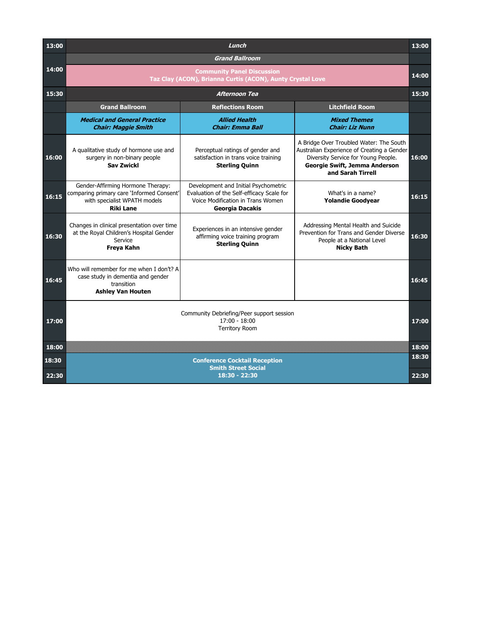| 13:00         | Lunch                                                                                                                              |                                                                                                                                                  |                                                                                                                                                                                    | 13:00 |
|---------------|------------------------------------------------------------------------------------------------------------------------------------|--------------------------------------------------------------------------------------------------------------------------------------------------|------------------------------------------------------------------------------------------------------------------------------------------------------------------------------------|-------|
|               |                                                                                                                                    | <b>Grand Ballroom</b>                                                                                                                            |                                                                                                                                                                                    |       |
| 14:00         | <b>Community Panel Discussion</b><br>Taz Clay (ACON), Brianna Curtis (ACON), Aunty Crystal Love                                    |                                                                                                                                                  |                                                                                                                                                                                    | 14:00 |
| 15:30         |                                                                                                                                    | <b>Afternoon Tea</b>                                                                                                                             |                                                                                                                                                                                    | 15:30 |
|               | <b>Grand Ballroom</b>                                                                                                              | <b>Reflections Room</b>                                                                                                                          | <b>Litchfield Room</b>                                                                                                                                                             |       |
|               | <b>Medical and General Practice</b><br><b>Chair: Maggie Smith</b>                                                                  | <b>Allied Health</b><br><b>Chair: Emma Ball</b>                                                                                                  | <b>Mixed Themes</b><br><b>Chair: Liz Nunn</b>                                                                                                                                      |       |
| 16:00         | A qualitative study of hormone use and<br>surgery in non-binary people<br><b>Sav Zwickl</b>                                        | Perceptual ratings of gender and<br>satisfaction in trans voice training<br><b>Sterling Quinn</b>                                                | A Bridge Over Troubled Water: The South<br>Australian Experience of Creating a Gender<br>Diversity Service for Young People.<br>Georgie Swift, Jemma Anderson<br>and Sarah Tirrell | 16:00 |
| 16:15         | Gender-Affirming Hormone Therapy:<br>comparing primary care 'Informed Consent'<br>with specialist WPATH models<br><b>Riki Lane</b> | Development and Initial Psychometric<br>Evaluation of the Self-efficacy Scale for<br>Voice Modification in Trans Women<br><b>Georgia Dacakis</b> | What's in a name?<br><b>Yolandie Goodyear</b>                                                                                                                                      | 16:15 |
| 16:30         | Changes in clinical presentation over time<br>at the Royal Children's Hospital Gender<br>Service<br>Freya Kahn                     | Experiences in an intensive gender<br>affirming voice training program<br><b>Sterling Quinn</b>                                                  | Addressing Mental Health and Suicide<br>Prevention for Trans and Gender Diverse<br>People at a National Level<br><b>Nicky Bath</b>                                                 | 16:30 |
| 16:45         | Who will remember for me when I don't? A<br>case study in dementia and gender<br>transition<br><b>Ashley Van Houten</b>            |                                                                                                                                                  |                                                                                                                                                                                    | 16:45 |
| 17:00         | Community Debriefing/Peer support session<br>$17:00 - 18:00$<br><b>Territory Room</b>                                              |                                                                                                                                                  |                                                                                                                                                                                    | 17:00 |
| 18:00         |                                                                                                                                    |                                                                                                                                                  |                                                                                                                                                                                    | 18:00 |
| <u> 18:30</u> |                                                                                                                                    | <b>Conference Cocktail Reception</b>                                                                                                             |                                                                                                                                                                                    | 18:30 |
| 22:30         |                                                                                                                                    | <b>Smith Street Social</b><br>$18:30 - 22:30$                                                                                                    |                                                                                                                                                                                    | 22:30 |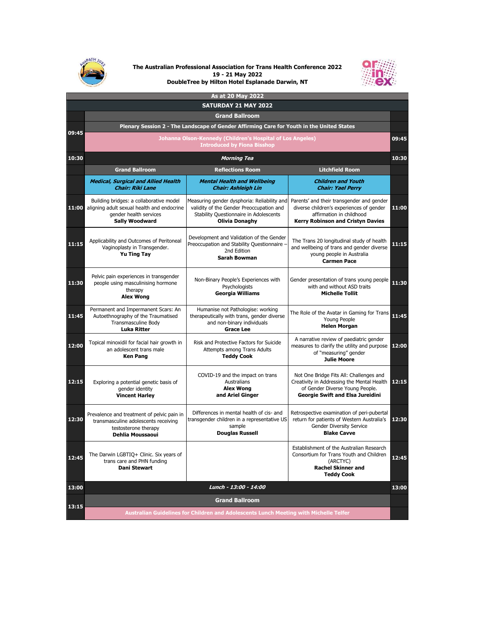

## **The Australian Professional Association for Trans Health Conference 2022 19 - 21 May 2022 DoubleTree by Hilton Hotel Esplanade Darwin, NT**



| As at 20 May 2022           |                                                                                                                                          |                                                                                                                                                            |                                                                                                                                                                     |       |
|-----------------------------|------------------------------------------------------------------------------------------------------------------------------------------|------------------------------------------------------------------------------------------------------------------------------------------------------------|---------------------------------------------------------------------------------------------------------------------------------------------------------------------|-------|
| <b>SATURDAY 21 MAY 2022</b> |                                                                                                                                          |                                                                                                                                                            |                                                                                                                                                                     |       |
|                             | <b>Grand Ballroom</b>                                                                                                                    |                                                                                                                                                            |                                                                                                                                                                     |       |
| 09:45                       | Plenary Session 2 - The Landscape of Gender Affirming Care for Youth in the United States                                                |                                                                                                                                                            |                                                                                                                                                                     |       |
|                             | Johanna Olson-Kennedy (Children's Hospital of Los Angeles)<br>09:45<br><b>Introduced by Fiona Bisshop</b>                                |                                                                                                                                                            |                                                                                                                                                                     |       |
| 10:30                       | <b>Morning Tea</b>                                                                                                                       |                                                                                                                                                            |                                                                                                                                                                     | 10:30 |
|                             | <b>Grand Ballroom</b>                                                                                                                    | <b>Reflections Room</b>                                                                                                                                    | <b>Litchfield Room</b>                                                                                                                                              |       |
|                             | <b>Medical, Surgical and Allied Health</b><br><b>Chair: Riki Lane</b>                                                                    | <b>Mental Health and Wellbeing</b><br><b>Chair: Ashleigh Lin</b>                                                                                           | <b>Children and Youth</b><br><b>Chair: Yael Perry</b>                                                                                                               |       |
| 11:00                       | Building bridges: a collaborative model<br>aligning adult sexual health and endocrine<br>gender health services<br><b>Sally Woodward</b> | Measuring gender dysphoria: Reliability and<br>validity of the Gender Preoccupation and<br>Stability Questionnaire in Adolescents<br><b>Olivia Donaghy</b> | Parents' and their transgender and gender<br>diverse children's experiences of gender<br>affirmation in childhood<br><b>Kerry Robinson and Cristyn Davies</b>       | 11:00 |
| 11:15                       | Applicability and Outcomes of Peritoneal<br>Vaginoplasty in Transgender.<br><b>Yu Ting Tay</b>                                           | Development and Validation of the Gender<br>Preoccupation and Stability Questionnaire -<br>2nd Edition<br><b>Sarah Bowman</b>                              | The Trans 20 longitudinal study of health<br>and wellbeing of trans and gender diverse<br>young people in Australia<br><b>Carmen Pace</b>                           | 11:15 |
| 11:30                       | Pelvic pain experiences in transgender<br>people using masculinising hormone<br>therapy<br><b>Alex Wong</b>                              | Non-Binary People's Experiences with<br>Psychologists<br><b>Georgia Williams</b>                                                                           | Gender presentation of trans young people<br>with and without ASD traits<br><b>Michelle Tollit</b>                                                                  | 11:30 |
| 11:45                       | Permanent and Impermanent Scars: An<br>Autoethnography of the Traumatised<br><b>Transmasculine Body</b><br>Luka Ritter                   | Humanise not Pathologise: working<br>therapeutically with trans, gender diverse<br>and non-binary individuals<br><b>Grace Lee</b>                          | The Role of the Avatar in Gaming for Trans<br>Young People<br><b>Helen Morgan</b>                                                                                   | 11:45 |
| 12:00                       | Topical minoxidil for facial hair growth in<br>an adolescent trans male<br><b>Ken Pang</b>                                               | Risk and Protective Factors for Suicide<br>Attempts among Trans Adults<br><b>Teddy Cook</b>                                                                | A narrative review of paediatric gender<br>measures to clarify the utility and purpose 12:00<br>of "measuring" gender<br><b>Julie Moore</b>                         |       |
| 12:15                       | Exploring a potential genetic basis of<br>gender identity<br><b>Vincent Harley</b>                                                       | COVID-19 and the impact on trans<br>Australians<br><b>Alex Wong</b><br>and Ariel Ginger                                                                    | Not One Bridge Fits All: Challenges and<br>Creativity in Addressing the Mental Health<br>of Gender Diverse Young People.<br><b>Georgie Swift and Elsa Jureidini</b> | 12:15 |
| 12:30                       | Prevalence and treatment of pelvic pain in<br>transmasculine adolescents receiving<br>testosterone therapy<br>Dehlia Moussaoui           | Differences in mental health of cis- and<br>transgender children in a representative US<br>sample<br><b>Douglas Russell</b>                                | Retrospective examination of peri-pubertal<br>return for patients of Western Australia's<br><b>Gender Diversity Service</b><br><b>Blake Cavve</b>                   | 12:30 |
| 12:45                       | The Darwin LGBTIQ+ Clinic. Six years of<br>trans care and PHN funding<br><b>Dani Stewart</b>                                             |                                                                                                                                                            | Establishment of the Australian Research<br>Consortium for Trans Youth and Children<br>(ARCTYC)<br><b>Rachel Skinner and</b><br><b>Teddy Cook</b>                   | 12:45 |
| 13:00                       | Lunch - 13:00 - 14:00                                                                                                                    |                                                                                                                                                            |                                                                                                                                                                     | 13:00 |
|                             | <b>Grand Ballroom</b>                                                                                                                    |                                                                                                                                                            |                                                                                                                                                                     |       |
| 13:15                       | Australian Guidelines for Children and Adolescents Lunch Meeting with Michelle Telfer                                                    |                                                                                                                                                            |                                                                                                                                                                     |       |
|                             |                                                                                                                                          |                                                                                                                                                            |                                                                                                                                                                     |       |